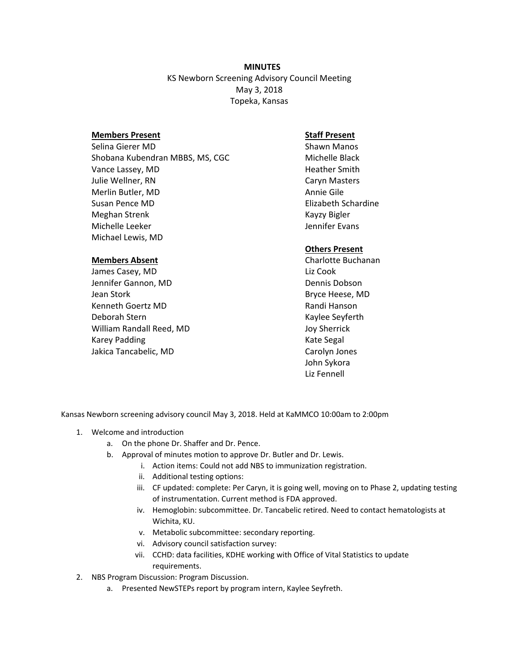**MINUTES** KS Newborn Screening Advisory Council Meeting May 3, 2018 Topeka, Kansas

### **Members Present**

Selina Gierer MD Shobana Kubendran MBBS, MS, CGC Vance Lassey, MD Julie Wellner, RN Merlin Butler, MD Susan Pence MD Meghan Strenk Michelle Leeker Michael Lewis, MD

#### **Members Absent**

James Casey, MD Jennifer Gannon, MD Jean Stork Kenneth Goertz MD Deborah Stern William Randall Reed, MD Karey Padding Jakica Tancabelic, MD

# **Staff Present**

Shawn Manos Michelle Black Heather Smith Caryn Masters Annie Gile Elizabeth Schardine Kayzy Bigler Jennifer Evans

## **Others Present**

Charlotte Buchanan Liz Cook Dennis Dobson Bryce Heese, MD Randi Hanson Kaylee Seyferth Joy Sherrick Kate Segal Carolyn Jones John Sykora Liz Fennell

Kansas Newborn screening advisory council May 3, 2018. Held at KaMMCO 10:00am to 2:00pm

- 1. Welcome and introduction
	- a. On the phone Dr. Shaffer and Dr. Pence.
	- b. Approval of minutes motion to approve Dr. Butler and Dr. Lewis.
		- i. Action items: Could not add NBS to immunization registration.
		- ii. Additional testing options:
		- iii. CF updated: complete: Per Caryn, it is going well, moving on to Phase 2, updating testing of instrumentation. Current method is FDA approved.
		- iv. Hemoglobin: subcommittee. Dr. Tancabelic retired. Need to contact hematologists at Wichita, KU.
		- v. Metabolic subcommittee: secondary reporting.
		- vi. Advisory council satisfaction survey:
		- vii. CCHD: data facilities, KDHE working with Office of Vital Statistics to update requirements.
- 2. NBS Program Discussion: Program Discussion.
	- a. Presented NewSTEPs report by program intern, Kaylee Seyfreth.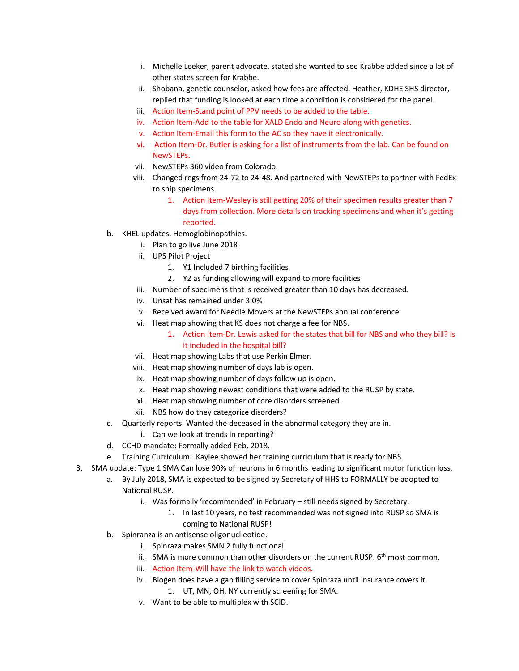- i. Michelle Leeker, parent advocate, stated she wanted to see Krabbe added since a lot of other states screen for Krabbe.
- ii. Shobana, genetic counselor, asked how fees are affected. Heather, KDHE SHS director, replied that funding is looked at each time a condition is considered for the panel.
- iii. Action Item-Stand point of PPV needs to be added to the table.
- iv. Action Item-Add to the table for XALD Endo and Neuro along with genetics.
- v. Action Item-Email this form to the AC so they have it electronically.
- vi. Action Item-Dr. Butler is asking for a list of instruments from the lab. Can be found on NewSTEPs.
- vii. NewSTEPs 360 video from Colorado.
- viii. Changed regs from 24-72 to 24-48. And partnered with NewSTEPs to partner with FedEx to ship specimens.
	- 1. Action Item-Wesley is still getting 20% of their specimen results greater than 7 days from collection. More details on tracking specimens and when it's getting reported.
- b. KHEL updates. Hemoglobinopathies.
	- i. Plan to go live June 2018
	- ii. UPS Pilot Project
		- 1. Y1 Included 7 birthing facilities
		- 2. Y2 as funding allowing will expand to more facilities
	- iii. Number of specimens that is received greater than 10 days has decreased.
	- iv. Unsat has remained under 3.0%
	- v. Received award for Needle Movers at the NewSTEPs annual conference.
	- vi. Heat map showing that KS does not charge a fee for NBS.
		- 1. Action Item-Dr. Lewis asked for the states that bill for NBS and who they bill? Is it included in the hospital bill?
	- vii. Heat map showing Labs that use Perkin Elmer.
	- viii. Heat map showing number of days lab is open.
	- ix. Heat map showing number of days follow up is open.
	- x. Heat map showing newest conditions that were added to the RUSP by state.
	- xi. Heat map showing number of core disorders screened.
	- xii. NBS how do they categorize disorders?
- c. Quarterly reports. Wanted the deceased in the abnormal category they are in.
	- i. Can we look at trends in reporting?
- d. CCHD mandate: Formally added Feb. 2018.
- e. Training Curriculum: Kaylee showed her training curriculum that is ready for NBS.
- 3. SMA update: Type 1 SMA Can lose 90% of neurons in 6 months leading to significant motor function loss.
	- a. By July 2018, SMA is expected to be signed by Secretary of HHS to FORMALLY be adopted to National RUSP.
		- i. Was formally 'recommended' in February still needs signed by Secretary.
			- 1. In last 10 years, no test recommended was not signed into RUSP so SMA is coming to National RUSP!
	- b. Spinranza is an antisense oligonuclieotide.
		- i. Spinraza makes SMN 2 fully functional.
		- ii. SMA is more common than other disorders on the current RUSP.  $6<sup>th</sup>$  most common.
		- iii. Action Item-Will have the link to watch videos.
		- iv. Biogen does have a gap filling service to cover Spinraza until insurance covers it. 1. UT, MN, OH, NY currently screening for SMA.
		- v. Want to be able to multiplex with SCID.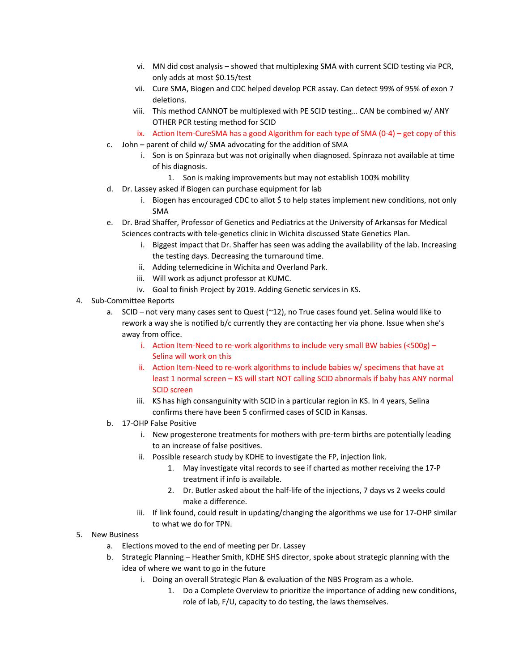- vi. MN did cost analysis showed that multiplexing SMA with current SCID testing via PCR, only adds at most \$0.15/test
- vii. Cure SMA, Biogen and CDC helped develop PCR assay. Can detect 99% of 95% of exon 7 deletions.
- viii. This method CANNOT be multiplexed with PE SCID testing… CAN be combined w/ ANY OTHER PCR testing method for SCID
- ix. Action Item-CureSMA has a good Algorithm for each type of SMA (0-4) get copy of this
- c. John parent of child w/ SMA advocating for the addition of SMA
	- i. Son is on Spinraza but was not originally when diagnosed. Spinraza not available at time of his diagnosis.
		- 1. Son is making improvements but may not establish 100% mobility
- d. Dr. Lassey asked if Biogen can purchase equipment for lab
	- i. Biogen has encouraged CDC to allot \$ to help states implement new conditions, not only SMA
- e. Dr. Brad Shaffer, Professor of Genetics and Pediatrics at the University of Arkansas for Medical Sciences contracts with tele-genetics clinic in Wichita discussed State Genetics Plan.
	- i. Biggest impact that Dr. Shaffer has seen was adding the availability of the lab. Increasing the testing days. Decreasing the turnaround time.
	- ii. Adding telemedicine in Wichita and Overland Park.
	- iii. Will work as adjunct professor at KUMC.
	- iv. Goal to finish Project by 2019. Adding Genetic services in KS.
- 4. Sub-Committee Reports
	- a. SCID not very many cases sent to Quest (~12), no True cases found yet. Selina would like to rework a way she is notified b/c currently they are contacting her via phone. Issue when she's away from office.
		- i. Action Item-Need to re-work algorithms to include very small BW babies (<500g) Selina will work on this
		- ii. Action Item-Need to re-work algorithms to include babies w/ specimens that have at least 1 normal screen – KS will start NOT calling SCID abnormals if baby has ANY normal SCID screen
		- iii. KS has high consanguinity with SCID in a particular region in KS. In 4 years, Selina confirms there have been 5 confirmed cases of SCID in Kansas.
	- b. 17-OHP False Positive
		- i. New progesterone treatments for mothers with pre-term births are potentially leading to an increase of false positives.
		- ii. Possible research study by KDHE to investigate the FP, injection link.
			- 1. May investigate vital records to see if charted as mother receiving the 17-P treatment if info is available.
			- 2. Dr. Butler asked about the half-life of the injections, 7 days vs 2 weeks could make a difference.
		- iii. If link found, could result in updating/changing the algorithms we use for 17-OHP similar to what we do for TPN.

## 5. New Business

- a. Elections moved to the end of meeting per Dr. Lassey
- b. Strategic Planning Heather Smith, KDHE SHS director, spoke about strategic planning with the idea of where we want to go in the future
	- i. Doing an overall Strategic Plan & evaluation of the NBS Program as a whole.
		- 1. Do a Complete Overview to prioritize the importance of adding new conditions, role of lab, F/U, capacity to do testing, the laws themselves.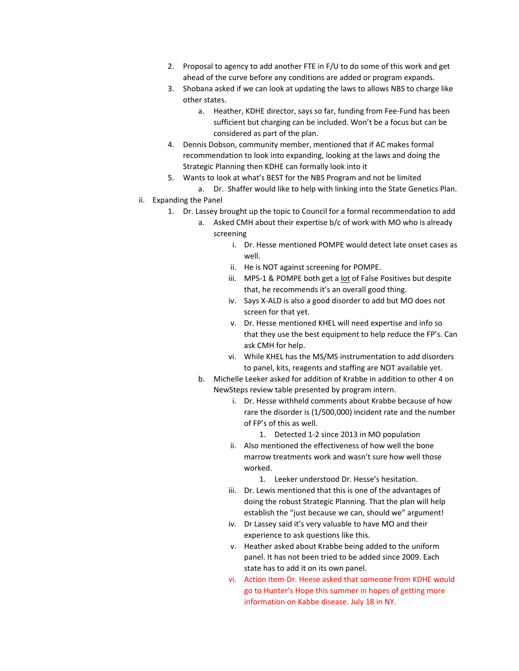- 2. Proposal to agency to add another FTE in F/U to do some of this work and get ahead of the curve before any conditions are added or program expands.
- 3. Shobana asked if we can look at updating the laws to allows NBS to charge like other states.
	- a. Heather, KDHE director, says so far, funding from Fee-Fund has been sufficient but charging can be included. Won't be a focus but can be considered as part of the plan.
- 4. Dennis Dobson, community member, mentioned that if AC makes formal recommendation to look into expanding, looking at the laws and doing the Strategic Planning then KDHE can formally look into it
- 5. Wants to look at what's BEST for the NBS Program and not be limited
	- a. Dr. Shaffer would like to help with linking into the State Genetics Plan.
- ii. Expanding the Panel
	- 1. Dr. Lassey brought up the topic to Council for a formal recommendation to add
		- a. Asked CMH about their expertise b/c of work with MO who is already screening
			- i. Dr. Hesse mentioned POMPE would detect late onset cases as well.
			- ii. He is NOT against screening for POMPE.
			- iii. MPS-1 & POMPE both get a lot of False Positives but despite that, he recommends it's an overall good thing.
			- iv. Says X-ALD is also a good disorder to add but MO does not screen for that yet.
			- v. Dr. Hesse mentioned KHEL will need expertise and info so that they use the best equipment to help reduce the FP's. Can ask CMH for help.
			- vi. While KHEL has the MS/MS instrumentation to add disorders to panel, kits, reagents and staffing are NOT available yet.
		- b. Michelle Leeker asked for addition of Krabbe in addition to other 4 on NewSteps review table presented by program intern.
			- i. Dr. Hesse withheld comments about Krabbe because of how rare the disorder is (1/500,000) incident rate and the number of FP's of this as well.
				- 1. Detected 1-2 since 2013 in MO population
			- ii. Also mentioned the effectiveness of how well the bone marrow treatments work and wasn't sure how well those worked.
				- 1. Leeker understood Dr. Hesse's hesitation.
			- iii. Dr. Lewis mentioned that this is one of the advantages of doing the robust Strategic Planning. That the plan will help establish the "just because we can, should we" argument!
			- iv. Dr Lassey said it's very valuable to have MO and their experience to ask questions like this.
			- v. Heather asked about Krabbe being added to the uniform panel. It has not been tried to be added since 2009. Each state has to add it on its own panel.
			- vi. Action Item-Dr. Heese asked that someone from KDHE would go to Hunter's Hope this summer in hopes of getting more information on Kabbe disease. July 18 in NY.